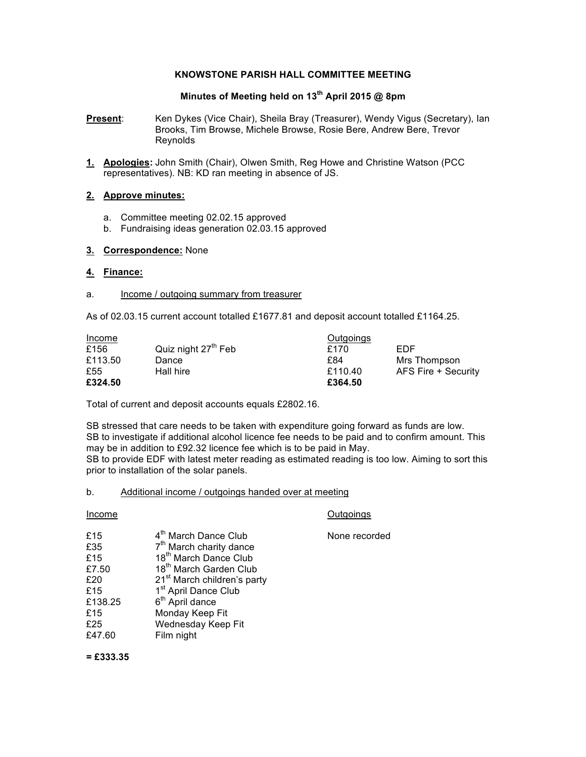### **KNOWSTONE PARISH HALL COMMITTEE MEETING**

# **Minutes of Meeting held on 13th April 2015 @ 8pm**

**Present:** Ken Dykes (Vice Chair), Sheila Bray (Treasurer), Wendy Vigus (Secretary), Ian Brooks, Tim Browse, Michele Browse, Rosie Bere, Andrew Bere, Trevor Reynolds

**1. Apologies:** John Smith (Chair), Olwen Smith, Reg Howe and Christine Watson (PCC representatives). NB: KD ran meeting in absence of JS.

### **2. Approve minutes:**

- a. Committee meeting 02.02.15 approved
- b. Fundraising ideas generation 02.03.15 approved

### **3. Correspondence:** None

### **4. Finance:**

a. Income / outgoing summary from treasurer

As of 02.03.15 current account totalled £1677.81 and deposit account totalled £1164.25.

| Income  |                                 | <b>Outgoings</b> |                     |
|---------|---------------------------------|------------------|---------------------|
| £156    | Quiz night 27 <sup>th</sup> Feb | £170             | EDF                 |
| £113.50 | Dance                           | £84              | Mrs Thompson        |
| £55     | Hall hire                       | £110.40          | AFS Fire + Security |
| £324.50 |                                 | £364.50          |                     |

Total of current and deposit accounts equals £2802.16.

SB stressed that care needs to be taken with expenditure going forward as funds are low. SB to investigate if additional alcohol licence fee needs to be paid and to confirm amount. This may be in addition to £92.32 licence fee which is to be paid in May. SB to provide EDF with latest meter reading as estimated reading is too low. Aiming to sort this prior to installation of the solar panels.

b. Additional income / outgoings handed over at meeting

| Income                                                                      |                                                                                                                                                                                                                                                                                                                         | Outgoings     |
|-----------------------------------------------------------------------------|-------------------------------------------------------------------------------------------------------------------------------------------------------------------------------------------------------------------------------------------------------------------------------------------------------------------------|---------------|
| £15<br>£35<br>£15<br>£7.50<br>£20<br>£15<br>£138.25<br>£15<br>£25<br>£47.60 | 4 <sup>th</sup> March Dance Club<br>7 <sup>th</sup> March charity dance<br>18 <sup>th</sup> March Dance Club<br>18 <sup>th</sup> March Garden Club<br>21 <sup>st</sup> March children's party<br>1 <sup>st</sup> April Dance Club<br>6 <sup>th</sup> April dance<br>Monday Keep Fit<br>Wednesday Keep Fit<br>Film night | None recorded |
|                                                                             |                                                                                                                                                                                                                                                                                                                         |               |

**= £333.35**